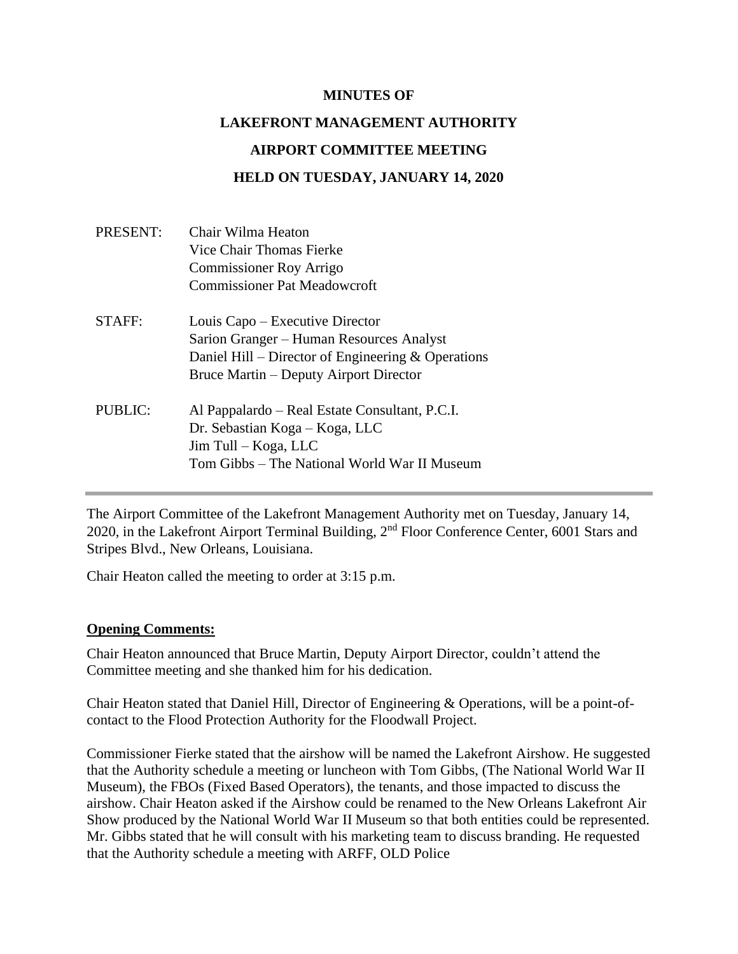#### **MINUTES OF**

# **LAKEFRONT MANAGEMENT AUTHORITY**

#### **AIRPORT COMMITTEE MEETING**

#### **HELD ON TUESDAY, JANUARY 14, 2020**

| Chair Wilma Heaton                                   |
|------------------------------------------------------|
| Vice Chair Thomas Fierke                             |
| <b>Commissioner Roy Arrigo</b>                       |
| <b>Commissioner Pat Meadowcroft</b>                  |
| Louis Capo – Executive Director                      |
| Sarion Granger – Human Resources Analyst             |
| Daniel Hill – Director of Engineering $&$ Operations |
| Bruce Martin – Deputy Airport Director               |
| Al Pappalardo – Real Estate Consultant, P.C.I.       |
| Dr. Sebastian Koga – Koga, LLC                       |
| Jim Tull - Koga, LLC                                 |
| Tom Gibbs – The National World War II Museum         |
|                                                      |

The Airport Committee of the Lakefront Management Authority met on Tuesday, January 14, 2020, in the Lakefront Airport Terminal Building, 2<sup>nd</sup> Floor Conference Center, 6001 Stars and Stripes Blvd., New Orleans, Louisiana.

Chair Heaton called the meeting to order at 3:15 p.m.

#### **Opening Comments:**

Chair Heaton announced that Bruce Martin, Deputy Airport Director, couldn't attend the Committee meeting and she thanked him for his dedication.

Chair Heaton stated that Daniel Hill, Director of Engineering & Operations, will be a point-ofcontact to the Flood Protection Authority for the Floodwall Project.

Commissioner Fierke stated that the airshow will be named the Lakefront Airshow. He suggested that the Authority schedule a meeting or luncheon with Tom Gibbs, (The National World War II Museum), the FBOs (Fixed Based Operators), the tenants, and those impacted to discuss the airshow. Chair Heaton asked if the Airshow could be renamed to the New Orleans Lakefront Air Show produced by the National World War II Museum so that both entities could be represented. Mr. Gibbs stated that he will consult with his marketing team to discuss branding. He requested that the Authority schedule a meeting with ARFF, OLD Police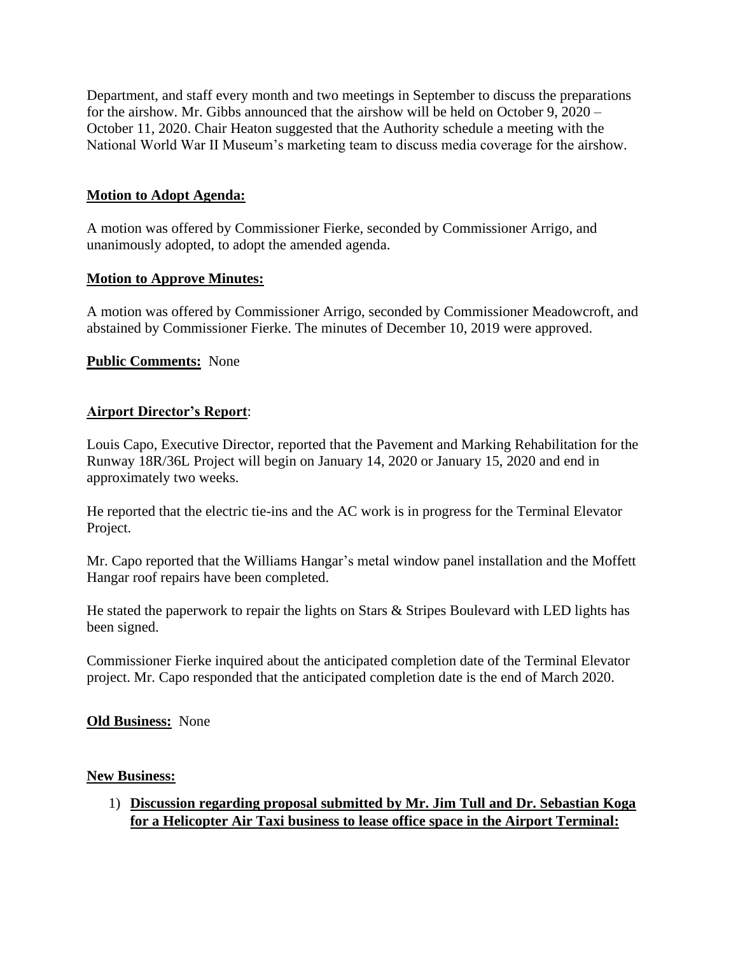Department, and staff every month and two meetings in September to discuss the preparations for the airshow. Mr. Gibbs announced that the airshow will be held on October 9, 2020 – October 11, 2020. Chair Heaton suggested that the Authority schedule a meeting with the National World War II Museum's marketing team to discuss media coverage for the airshow.

### **Motion to Adopt Agenda:**

A motion was offered by Commissioner Fierke, seconded by Commissioner Arrigo, and unanimously adopted, to adopt the amended agenda.

#### **Motion to Approve Minutes:**

A motion was offered by Commissioner Arrigo, seconded by Commissioner Meadowcroft, and abstained by Commissioner Fierke. The minutes of December 10, 2019 were approved.

#### **Public Comments:** None

#### **Airport Director's Report**:

Louis Capo, Executive Director, reported that the Pavement and Marking Rehabilitation for the Runway 18R/36L Project will begin on January 14, 2020 or January 15, 2020 and end in approximately two weeks.

He reported that the electric tie-ins and the AC work is in progress for the Terminal Elevator Project.

Mr. Capo reported that the Williams Hangar's metal window panel installation and the Moffett Hangar roof repairs have been completed.

He stated the paperwork to repair the lights on Stars & Stripes Boulevard with LED lights has been signed.

Commissioner Fierke inquired about the anticipated completion date of the Terminal Elevator project. Mr. Capo responded that the anticipated completion date is the end of March 2020.

#### **Old Business:** None

#### **New Business:**

1) **Discussion regarding proposal submitted by Mr. Jim Tull and Dr. Sebastian Koga for a Helicopter Air Taxi business to lease office space in the Airport Terminal:**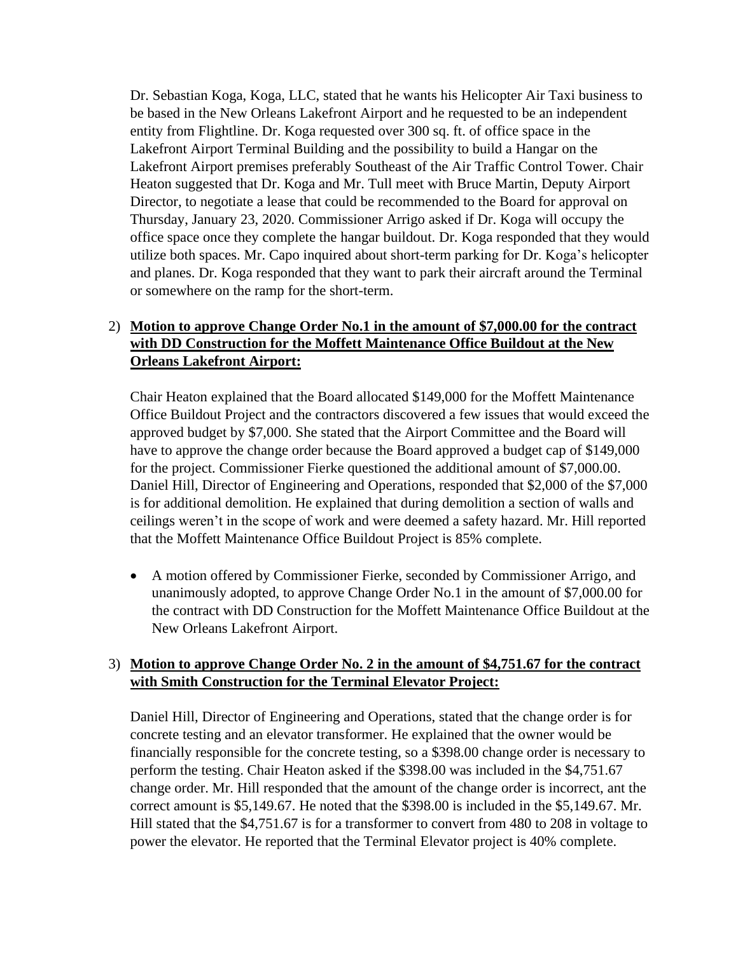Dr. Sebastian Koga, Koga, LLC, stated that he wants his Helicopter Air Taxi business to be based in the New Orleans Lakefront Airport and he requested to be an independent entity from Flightline. Dr. Koga requested over 300 sq. ft. of office space in the Lakefront Airport Terminal Building and the possibility to build a Hangar on the Lakefront Airport premises preferably Southeast of the Air Traffic Control Tower. Chair Heaton suggested that Dr. Koga and Mr. Tull meet with Bruce Martin, Deputy Airport Director, to negotiate a lease that could be recommended to the Board for approval on Thursday, January 23, 2020. Commissioner Arrigo asked if Dr. Koga will occupy the office space once they complete the hangar buildout. Dr. Koga responded that they would utilize both spaces. Mr. Capo inquired about short-term parking for Dr. Koga's helicopter and planes. Dr. Koga responded that they want to park their aircraft around the Terminal or somewhere on the ramp for the short-term.

## 2) **Motion to approve Change Order No.1 in the amount of \$7,000.00 for the contract with DD Construction for the Moffett Maintenance Office Buildout at the New Orleans Lakefront Airport:**

Chair Heaton explained that the Board allocated \$149,000 for the Moffett Maintenance Office Buildout Project and the contractors discovered a few issues that would exceed the approved budget by \$7,000. She stated that the Airport Committee and the Board will have to approve the change order because the Board approved a budget cap of \$149,000 for the project. Commissioner Fierke questioned the additional amount of \$7,000.00. Daniel Hill, Director of Engineering and Operations, responded that \$2,000 of the \$7,000 is for additional demolition. He explained that during demolition a section of walls and ceilings weren't in the scope of work and were deemed a safety hazard. Mr. Hill reported that the Moffett Maintenance Office Buildout Project is 85% complete.

• A motion offered by Commissioner Fierke, seconded by Commissioner Arrigo, and unanimously adopted, to approve Change Order No.1 in the amount of \$7,000.00 for the contract with DD Construction for the Moffett Maintenance Office Buildout at the New Orleans Lakefront Airport.

### 3) **Motion to approve Change Order No. 2 in the amount of \$4,751.67 for the contract with Smith Construction for the Terminal Elevator Project:**

Daniel Hill, Director of Engineering and Operations, stated that the change order is for concrete testing and an elevator transformer. He explained that the owner would be financially responsible for the concrete testing, so a \$398.00 change order is necessary to perform the testing. Chair Heaton asked if the \$398.00 was included in the \$4,751.67 change order. Mr. Hill responded that the amount of the change order is incorrect, ant the correct amount is \$5,149.67. He noted that the \$398.00 is included in the \$5,149.67. Mr. Hill stated that the \$4,751.67 is for a transformer to convert from 480 to 208 in voltage to power the elevator. He reported that the Terminal Elevator project is 40% complete.